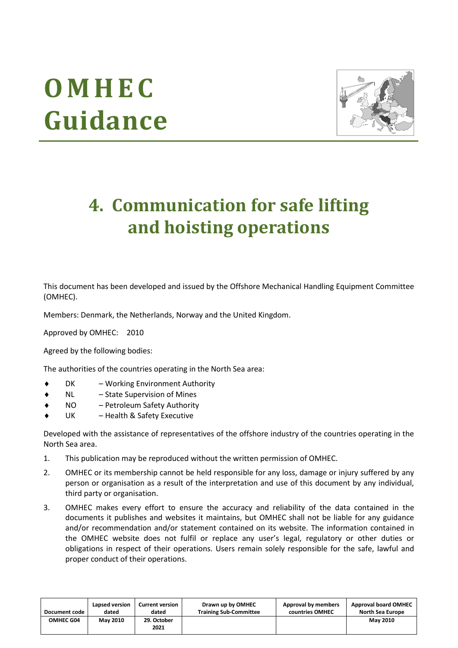# **O M H E C Guidance**



# **4. Communication for safe lifting and hoisting operations**

This document has been developed and issued by the Offshore Mechanical Handling Equipment Committee (OMHEC).

Members: Denmark, the Netherlands, Norway and the United Kingdom.

Approved by OMHEC: 2010

Agreed by the following bodies:

The authorities of the countries operating in the North Sea area:

- DK Working Environment Authority
- NL State Supervision of Mines
- NO Petroleum Safety Authority
- UK Health & Safety Executive

Developed with the assistance of representatives of the offshore industry of the countries operating in the North Sea area.

- 1. This publication may be reproduced without the written permission of OMHEC.
- 2. OMHEC or its membership cannot be held responsible for any loss, damage or injury suffered by any person or organisation as a result of the interpretation and use of this document by any individual, third party or organisation.
- 3. OMHEC makes every effort to ensure the accuracy and reliability of the data contained in the documents it publishes and websites it maintains, but OMHEC shall not be liable for any guidance and/or recommendation and/or statement contained on its website. The information contained in the OMHEC website does not fulfil or replace any user's legal, regulatory or other duties or obligations in respect of their operations. Users remain solely responsible for the safe, lawful and proper conduct of their operations.

| <b>Document code</b> | Lapsed version  | <b>Current version</b> | Drawn up by OMHEC             | Approval by members | <b>Approval board OMHEC</b> |
|----------------------|-----------------|------------------------|-------------------------------|---------------------|-----------------------------|
|                      | dated           | dated                  | <b>Training Sub-Committee</b> | countries OMHEC     | <b>North Sea Europe</b>     |
| <b>OMHEC G04</b>     | <b>May 2010</b> | 29. October<br>2021    |                               |                     | <b>May 2010</b>             |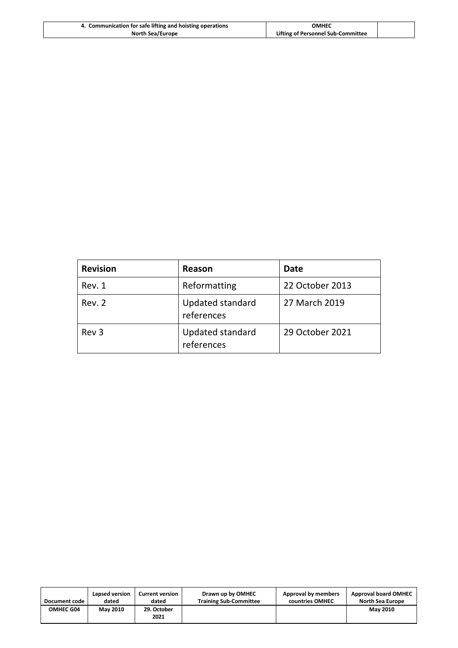| 4. Communication for safe lifting and hoisting operations | <b>OMHEC</b>                       |  |
|-----------------------------------------------------------|------------------------------------|--|
| <b>North Sea/Europe</b>                                   | Lifting of Personnel Sub-Committee |  |

| <b>Revision</b>  | Reason                                | Date            |
|------------------|---------------------------------------|-----------------|
| Rev. 1           | Reformatting                          | 22 October 2013 |
| Rev. 2           | Updated standard<br>references        | 27 March 2019   |
| Rev <sub>3</sub> | <b>Updated standard</b><br>references | 29 October 2021 |

| Document code    | Lapsed version  | <b>Current version</b> | Drawn up by OMHEC             | Approval by members | <b>Approval board OMHEC</b> |
|------------------|-----------------|------------------------|-------------------------------|---------------------|-----------------------------|
|                  | dated           | dated                  | <b>Training Sub-Committee</b> | countries OMHEC     | <b>North Sea Europe</b>     |
| <b>OMHEC G04</b> | <b>May 2010</b> | 29. October<br>2021    |                               |                     | <b>May 2010</b>             |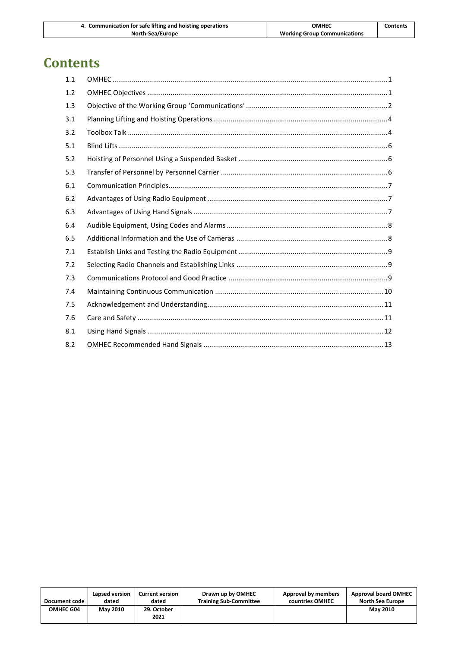| 4. Communication for safe lifting and hoisting operations | ОМНЕС                               | <b>Contents</b> |
|-----------------------------------------------------------|-------------------------------------|-----------------|
| North-Sea/Europe                                          | <b>Working Group Communications</b> |                 |

# **Contents**

| 1.1 |  |
|-----|--|
| 1.2 |  |
| 1.3 |  |
| 3.1 |  |
| 3.2 |  |
| 5.1 |  |
| 5.2 |  |
| 5.3 |  |
| 6.1 |  |
| 6.2 |  |
| 6.3 |  |
| 6.4 |  |
| 6.5 |  |
| 7.1 |  |
| 7.2 |  |
| 7.3 |  |
| 7.4 |  |
| 7.5 |  |
| 7.6 |  |
| 8.1 |  |
| 8.2 |  |

| Document code    | Lapsed version  | <b>Current version</b> | Drawn up by OMHEC             | Approval by members | <b>Approval board OMHEC</b> |
|------------------|-----------------|------------------------|-------------------------------|---------------------|-----------------------------|
|                  | dated           | dated                  | <b>Training Sub-Committee</b> | countries OMHEC     | North Sea Europe            |
| <b>OMHEC G04</b> | <b>May 2010</b> | 29. October<br>2021    |                               |                     | <b>May 2010</b>             |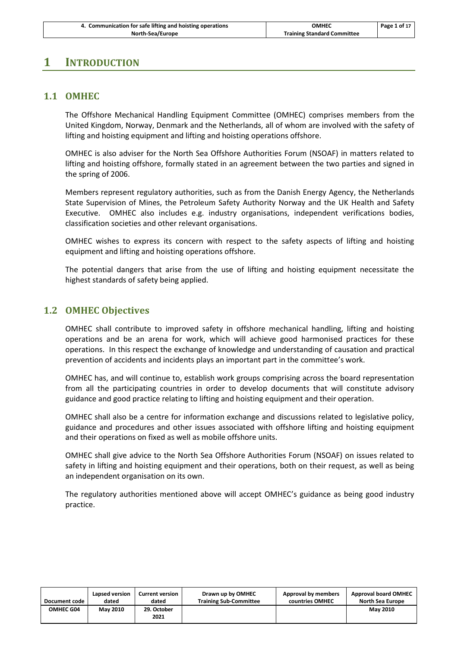| 4. Communication for safe lifting and hoisting operations | ОМНЕС                              | Page 1 of 17 |
|-----------------------------------------------------------|------------------------------------|--------------|
| North-Sea/Europe                                          | <b>Training Standard Committee</b> |              |

#### <span id="page-3-0"></span>**1 INTRODUCTION**

#### **1.1 OMHEC**

The Offshore Mechanical Handling Equipment Committee (OMHEC) comprises members from the United Kingdom, Norway, Denmark and the Netherlands, all of whom are involved with the safety of lifting and hoisting equipment and lifting and hoisting operations offshore.

OMHEC is also adviser for the North Sea Offshore Authorities Forum (NSOAF) in matters related to lifting and hoisting offshore, formally stated in an agreement between the two parties and signed in the spring of 2006.

Members represent regulatory authorities, such as from the Danish Energy Agency, the Netherlands State Supervision of Mines, the Petroleum Safety Authority Norway and the UK Health and Safety Executive. OMHEC also includes e.g. industry organisations, independent verifications bodies, classification societies and other relevant organisations.

OMHEC wishes to express its concern with respect to the safety aspects of lifting and hoisting equipment and lifting and hoisting operations offshore.

The potential dangers that arise from the use of lifting and hoisting equipment necessitate the highest standards of safety being applied.

#### <span id="page-3-1"></span>**1.2 OMHEC Objectives**

OMHEC shall contribute to improved safety in offshore mechanical handling, lifting and hoisting operations and be an arena for work, which will achieve good harmonised practices for these operations. In this respect the exchange of knowledge and understanding of causation and practical prevention of accidents and incidents plays an important part in the committee's work.

OMHEC has, and will continue to, establish work groups comprising across the board representation from all the participating countries in order to develop documents that will constitute advisory guidance and good practice relating to lifting and hoisting equipment and their operation.

OMHEC shall also be a centre for information exchange and discussions related to legislative policy, guidance and procedures and other issues associated with offshore lifting and hoisting equipment and their operations on fixed as well as mobile offshore units.

OMHEC shall give advice to the North Sea Offshore Authorities Forum (NSOAF) on issues related to safety in lifting and hoisting equipment and their operations, both on their request, as well as being an independent organisation on its own.

The regulatory authorities mentioned above will accept OMHEC's guidance as being good industry practice.

| Document code | Lapsed version  | <b>Current version</b> | Drawn up by OMHEC             | Approval by members | <b>Approval board OMHEC</b> |
|---------------|-----------------|------------------------|-------------------------------|---------------------|-----------------------------|
|               | dated           | dated                  | <b>Training Sub-Committee</b> | countries OMHEC     | <b>North Sea Europe</b>     |
| OMHEC G04     | <b>May 2010</b> | 29. October<br>2021    |                               |                     | <b>May 2010</b>             |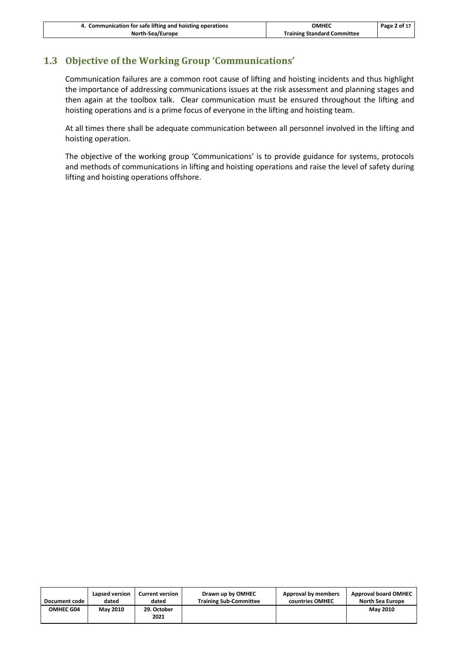| 4. Communication for safe lifting and hoisting operations | ОМНЕС                              | Page 2 of 17 |
|-----------------------------------------------------------|------------------------------------|--------------|
| North-Sea/Europe                                          | <b>Training Standard Committee</b> |              |

#### <span id="page-4-0"></span>**1.3 Objective of the Working Group 'Communications'**

Communication failures are a common root cause of lifting and hoisting incidents and thus highlight the importance of addressing communications issues at the risk assessment and planning stages and then again at the toolbox talk. Clear communication must be ensured throughout the lifting and hoisting operations and is a prime focus of everyone in the lifting and hoisting team.

At all times there shall be adequate communication between all personnel involved in the lifting and hoisting operation.

The objective of the working group 'Communications' is to provide guidance for systems, protocols and methods of communications in lifting and hoisting operations and raise the level of safety during lifting and hoisting operations offshore.

| Document code    | Lapsed version  | <b>Current version</b> | Drawn up by OMHEC             | Approval by members | <b>Approval board OMHEC</b> |
|------------------|-----------------|------------------------|-------------------------------|---------------------|-----------------------------|
|                  | dated           | dated                  | <b>Training Sub-Committee</b> | countries OMHEC     | North Sea Europe            |
| <b>OMHEC G04</b> | <b>May 2010</b> | 29. October<br>2021    |                               |                     | <b>May 2010</b>             |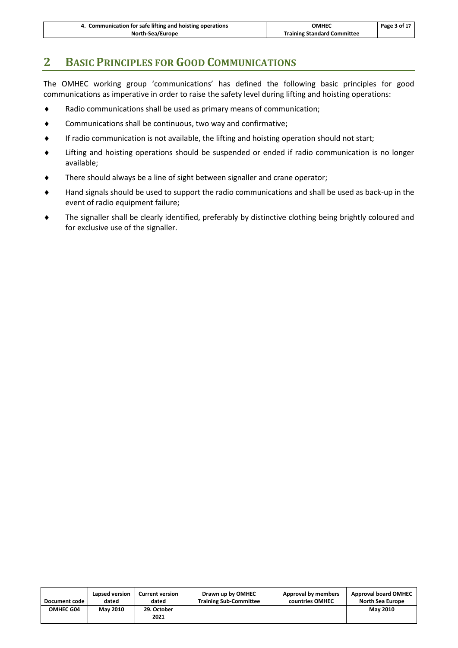# **2 BASIC PRINCIPLES FOR GOOD COMMUNICATIONS**

The OMHEC working group 'communications' has defined the following basic principles for good communications as imperative in order to raise the safety level during lifting and hoisting operations:

- Radio communications shall be used as primary means of communication;
- Communications shall be continuous, two way and confirmative;
- If radio communication is not available, the lifting and hoisting operation should not start;
- Lifting and hoisting operations should be suspended or ended if radio communication is no longer available;
- There should always be a line of sight between signaller and crane operator;
- Hand signals should be used to support the radio communications and shall be used as back-up in the event of radio equipment failure;
- The signaller shall be clearly identified, preferably by distinctive clothing being brightly coloured and for exclusive use of the signaller.

| Document code | Lapsed version  | <b>Current version</b> | Drawn up by OMHEC             | Approval by members | <b>Approval board OMHEC</b> |
|---------------|-----------------|------------------------|-------------------------------|---------------------|-----------------------------|
|               | dated           | dated                  | <b>Training Sub-Committee</b> | countries OMHEC     | North Sea Europe            |
| OMHEC G04     | <b>May 2010</b> | 29. October<br>2021    |                               |                     | <b>May 2010</b>             |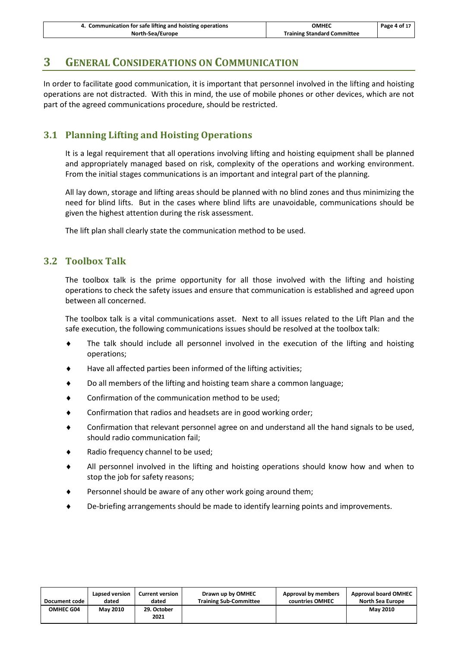| 4. Communication for safe lifting and hoisting operations | OMHEC                              | Page 4 of 17 |
|-----------------------------------------------------------|------------------------------------|--------------|
| North-Sea/Europe                                          | <b>Training Standard Committee</b> |              |

## **3 GENERAL CONSIDERATIONS ON COMMUNICATION**

In order to facilitate good communication, it is important that personnel involved in the lifting and hoisting operations are not distracted. With this in mind, the use of mobile phones or other devices, which are not part of the agreed communications procedure, should be restricted.

#### <span id="page-6-0"></span>**3.1 Planning Lifting and Hoisting Operations**

It is a legal requirement that all operations involving lifting and hoisting equipment shall be planned and appropriately managed based on risk, complexity of the operations and working environment. From the initial stages communications is an important and integral part of the planning.

All lay down, storage and lifting areas should be planned with no blind zones and thus minimizing the need for blind lifts. But in the cases where blind lifts are unavoidable, communications should be given the highest attention during the risk assessment.

The lift plan shall clearly state the communication method to be used.

#### <span id="page-6-1"></span>**3.2 Toolbox Talk**

The toolbox talk is the prime opportunity for all those involved with the lifting and hoisting operations to check the safety issues and ensure that communication is established and agreed upon between all concerned.

The toolbox talk is a vital communications asset. Next to all issues related to the Lift Plan and the safe execution, the following communications issues should be resolved at the toolbox talk:

- The talk should include all personnel involved in the execution of the lifting and hoisting operations;
- Have all affected parties been informed of the lifting activities;
- Do all members of the lifting and hoisting team share a common language;
- ◆ Confirmation of the communication method to be used;
- Confirmation that radios and headsets are in good working order;
- Confirmation that relevant personnel agree on and understand all the hand signals to be used, should radio communication fail;
- Radio frequency channel to be used;
- All personnel involved in the lifting and hoisting operations should know how and when to stop the job for safety reasons;
- Personnel should be aware of any other work going around them;
- De-briefing arrangements should be made to identify learning points and improvements.

| Document code    | Lapsed version  | <b>Current version</b> | Drawn up by OMHEC             | Approval by members | <b>Approval board OMHEC</b> |
|------------------|-----------------|------------------------|-------------------------------|---------------------|-----------------------------|
|                  | dated           | dated                  | <b>Training Sub-Committee</b> | countries OMHEC     | North Sea Europe            |
| <b>OMHEC G04</b> | <b>May 2010</b> | 29. October<br>2021    |                               |                     | <b>May 2010</b>             |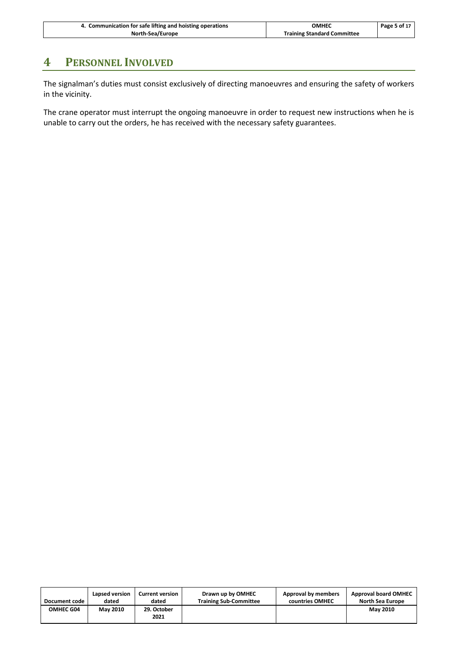| 4. Communication for safe lifting and hoisting operations | ОМНЕС                              | Page 5 of 17 |
|-----------------------------------------------------------|------------------------------------|--------------|
| North-Sea/Europe                                          | <b>Training Standard Committee</b> |              |

# **4 PERSONNEL INVOLVED**

The signalman's duties must consist exclusively of directing manoeuvres and ensuring the safety of workers in the vicinity.

The crane operator must interrupt the ongoing manoeuvre in order to request new instructions when he is unable to carry out the orders, he has received with the necessary safety guarantees.

| Document code    | Lapsed version  | <b>Current version</b> | Drawn up by OMHEC             | Approval by members | <b>Approval board OMHEC</b> |
|------------------|-----------------|------------------------|-------------------------------|---------------------|-----------------------------|
|                  | dated           | dated                  | <b>Training Sub-Committee</b> | countries OMHEC     | <b>North Sea Europe</b>     |
| <b>OMHEC G04</b> | <b>May 2010</b> | 29. October<br>2021    |                               |                     | <b>May 2010</b>             |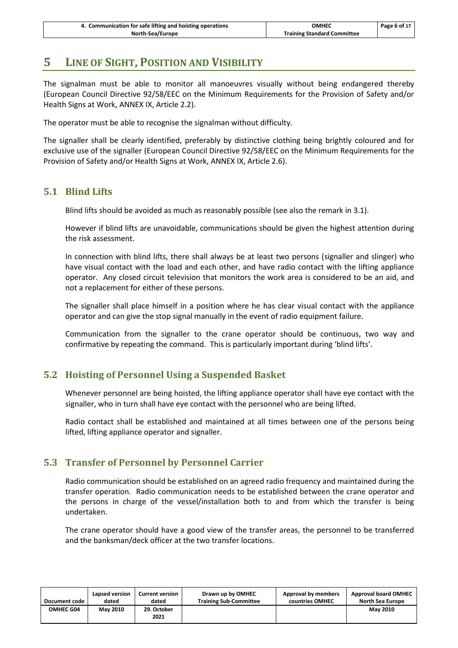# **5 LINE OF SIGHT, POSITION AND VISIBILITY**

The signalman must be able to monitor all manoeuvres visually without being endangered thereby (European Council Directive 92/58/EEC on the Minimum Requirements for the Provision of Safety and/or Health Signs at Work, ANNEX IX, Article 2.2).

The operator must be able to recognise the signalman without difficulty.

The signaller shall be clearly identified, preferably by distinctive clothing being brightly coloured and for exclusive use of the signaller (European Council Directive 92/58/EEC on the Minimum Requirements for the Provision of Safety and/or Health Signs at Work, ANNEX IX, Article 2.6).

#### <span id="page-8-0"></span>**5.1 Blind Lifts**

Blind lifts should be avoided as much as reasonably possible (see also the remark i[n 3.1\)](#page-6-0).

However if blind lifts are unavoidable, communications should be given the highest attention during the risk assessment.

In connection with blind lifts, there shall always be at least two persons (signaller and slinger) who have visual contact with the load and each other, and have radio contact with the lifting appliance operator. Any closed circuit television that monitors the work area is considered to be an aid, and not a replacement for either of these persons.

The signaller shall place himself in a position where he has clear visual contact with the appliance operator and can give the stop signal manually in the event of radio equipment failure.

Communication from the signaller to the crane operator should be continuous, two way and confirmative by repeating the command. This is particularly important during 'blind lifts'.

#### <span id="page-8-1"></span>**5.2 Hoisting of Personnel Using a Suspended Basket**

Whenever personnel are being hoisted, the lifting appliance operator shall have eye contact with the signaller, who in turn shall have eye contact with the personnel who are being lifted.

Radio contact shall be established and maintained at all times between one of the persons being lifted, lifting appliance operator and signaller.

#### <span id="page-8-2"></span>**5.3 Transfer of Personnel by Personnel Carrier**

Radio communication should be established on an agreed radio frequency and maintained during the transfer operation. Radio communication needs to be established between the crane operator and the persons in charge of the vessel/installation both to and from which the transfer is being undertaken.

The crane operator should have a good view of the transfer areas, the personnel to be transferred and the banksman/deck officer at the two transfer locations.

| Document code | Lapsed version  | <b>Current version</b> | Drawn up by OMHEC             | Approval by members | <b>Approval board OMHEC</b> |
|---------------|-----------------|------------------------|-------------------------------|---------------------|-----------------------------|
|               | dated           | dated                  | <b>Training Sub-Committee</b> | countries OMHEC     | North Sea Europe            |
| OMHEC G04     | <b>May 2010</b> | 29. October<br>2021    |                               |                     | <b>May 2010</b>             |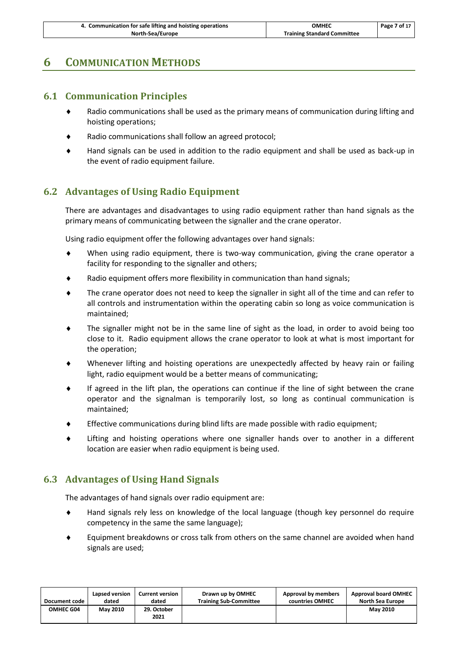| 4. Communication for safe lifting and hoisting operations | <b>OMHEC</b>                       | Page 7 of 17 |
|-----------------------------------------------------------|------------------------------------|--------------|
| North-Sea/Europe                                          | <b>Training Standard Committee</b> |              |

# <span id="page-9-0"></span>**6 COMMUNICATION METHODS**

#### **6.1 Communication Principles**

- Radio communications shall be used as the primary means of communication during lifting and hoisting operations;
- Radio communications shall follow an agreed protocol;
- Hand signals can be used in addition to the radio equipment and shall be used as back-up in the event of radio equipment failure.

#### <span id="page-9-1"></span>**6.2 Advantages of Using Radio Equipment**

There are advantages and disadvantages to using radio equipment rather than hand signals as the primary means of communicating between the signaller and the crane operator.

Using radio equipment offer the following advantages over hand signals:

- When using radio equipment, there is two-way communication, giving the crane operator a facility for responding to the signaller and others;
- Radio equipment offers more flexibility in communication than hand signals;
- The crane operator does not need to keep the signaller in sight all of the time and can refer to all controls and instrumentation within the operating cabin so long as voice communication is maintained;
- The signaller might not be in the same line of sight as the load, in order to avoid being too close to it. Radio equipment allows the crane operator to look at what is most important for the operation;
- Whenever lifting and hoisting operations are unexpectedly affected by heavy rain or failing light, radio equipment would be a better means of communicating;
- If agreed in the lift plan, the operations can continue if the line of sight between the crane operator and the signalman is temporarily lost, so long as continual communication is maintained;
- Effective communications during blind lifts are made possible with radio equipment;
- Lifting and hoisting operations where one signaller hands over to another in a different location are easier when radio equipment is being used.

#### <span id="page-9-2"></span>**6.3 Advantages of Using Hand Signals**

The advantages of hand signals over radio equipment are:

- Hand signals rely less on knowledge of the local language (though key personnel do require competency in the same the same language);
- Equipment breakdowns or cross talk from others on the same channel are avoided when hand signals are used;

| Document code | Lapsed version  | <b>Current version</b> | Drawn up by OMHEC             | Approval by members | <b>Approval board OMHEC</b> |
|---------------|-----------------|------------------------|-------------------------------|---------------------|-----------------------------|
|               | dated           | dated                  | <b>Training Sub-Committee</b> | countries OMHEC     | North Sea Europe            |
| OMHEC G04     | <b>May 2010</b> | 29. October<br>2021    |                               |                     | <b>May 2010</b>             |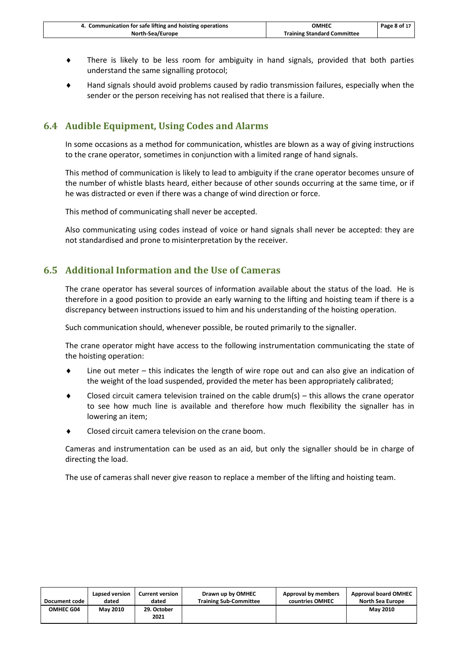| 4. Communication for safe lifting and hoisting operations | <b>OMHEC</b>                       | Page 8 of 17 |
|-----------------------------------------------------------|------------------------------------|--------------|
| North-Sea/Europe                                          | <b>Training Standard Committee</b> |              |

- There is likely to be less room for ambiguity in hand signals, provided that both parties understand the same signalling protocol;
- Hand signals should avoid problems caused by radio transmission failures, especially when the sender or the person receiving has not realised that there is a failure.

#### <span id="page-10-0"></span>**6.4 Audible Equipment, Using Codes and Alarms**

In some occasions as a method for communication, whistles are blown as a way of giving instructions to the crane operator, sometimes in conjunction with a limited range of hand signals.

This method of communication is likely to lead to ambiguity if the crane operator becomes unsure of the number of whistle blasts heard, either because of other sounds occurring at the same time, or if he was distracted or even if there was a change of wind direction or force.

This method of communicating shall never be accepted.

Also communicating using codes instead of voice or hand signals shall never be accepted: they are not standardised and prone to misinterpretation by the receiver.

#### <span id="page-10-1"></span>**6.5 Additional Information and the Use of Cameras**

The crane operator has several sources of information available about the status of the load. He is therefore in a good position to provide an early warning to the lifting and hoisting team if there is a discrepancy between instructions issued to him and his understanding of the hoisting operation.

Such communication should, whenever possible, be routed primarily to the signaller.

The crane operator might have access to the following instrumentation communicating the state of the hoisting operation:

- Line out meter this indicates the length of wire rope out and can also give an indication of the weight of the load suspended, provided the meter has been appropriately calibrated;
- Closed circuit camera television trained on the cable drum(s)  $-$  this allows the crane operator to see how much line is available and therefore how much flexibility the signaller has in lowering an item;
- Closed circuit camera television on the crane boom.

Cameras and instrumentation can be used as an aid, but only the signaller should be in charge of directing the load.

The use of cameras shall never give reason to replace a member of the lifting and hoisting team.

| Document code    | Lapsed version  | <b>Current version</b> | Drawn up by OMHEC             | Approval by members | <b>Approval board OMHEC</b> |
|------------------|-----------------|------------------------|-------------------------------|---------------------|-----------------------------|
|                  | dated           | dated                  | <b>Training Sub-Committee</b> | countries OMHEC     | <b>North Sea Europe</b>     |
| <b>OMHEC G04</b> | <b>May 2010</b> | 29. October<br>2021    |                               |                     | <b>May 2010</b>             |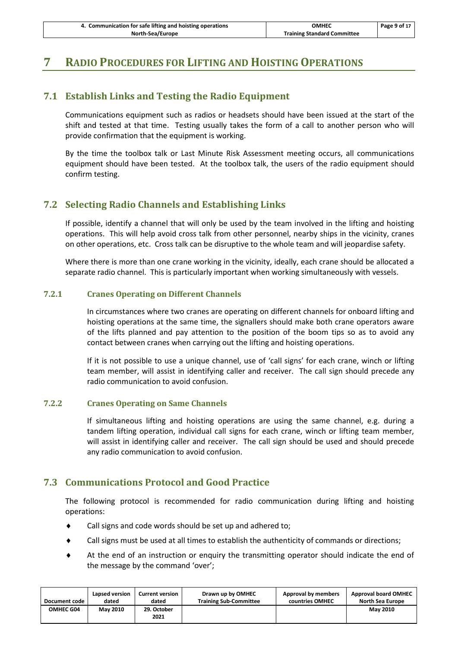| 4. Communication for safe lifting and hoisting operations | <b>OMHEC</b>                       | Page 9 of 17 |
|-----------------------------------------------------------|------------------------------------|--------------|
| North-Sea/Europe                                          | <b>Training Standard Committee</b> |              |

# <span id="page-11-0"></span>**7 RADIO PROCEDURES FOR LIFTING AND HOISTING OPERATIONS**

#### **7.1 Establish Links and Testing the Radio Equipment**

Communications equipment such as radios or headsets should have been issued at the start of the shift and tested at that time. Testing usually takes the form of a call to another person who will provide confirmation that the equipment is working.

By the time the toolbox talk or Last Minute Risk Assessment meeting occurs, all communications equipment should have been tested. At the toolbox talk, the users of the radio equipment should confirm testing.

#### <span id="page-11-1"></span>**7.2 Selecting Radio Channels and Establishing Links**

If possible, identify a channel that will only be used by the team involved in the lifting and hoisting operations. This will help avoid cross talk from other personnel, nearby ships in the vicinity, cranes on other operations, etc. Cross talk can be disruptive to the whole team and will jeopardise safety.

Where there is more than one crane working in the vicinity, ideally, each crane should be allocated a separate radio channel. This is particularly important when working simultaneously with vessels.

#### **7.2.1 Cranes Operating on Different Channels**

In circumstances where two cranes are operating on different channels for onboard lifting and hoisting operations at the same time, the signallers should make both crane operators aware of the lifts planned and pay attention to the position of the boom tips so as to avoid any contact between cranes when carrying out the lifting and hoisting operations.

If it is not possible to use a unique channel, use of 'call signs' for each crane, winch or lifting team member, will assist in identifying caller and receiver. The call sign should precede any radio communication to avoid confusion.

#### **7.2.2 Cranes Operating on Same Channels**

If simultaneous lifting and hoisting operations are using the same channel, e.g. during a tandem lifting operation, individual call signs for each crane, winch or lifting team member, will assist in identifying caller and receiver. The call sign should be used and should precede any radio communication to avoid confusion.

#### <span id="page-11-2"></span>**7.3 Communications Protocol and Good Practice**

The following protocol is recommended for radio communication during lifting and hoisting operations:

- Call signs and code words should be set up and adhered to;
- Call signs must be used at all times to establish the authenticity of commands or directions;
- At the end of an instruction or enquiry the transmitting operator should indicate the end of the message by the command 'over';

| Document code    | Lapsed version  | <b>Current version</b> | Drawn up by OMHEC             | Approval by members | <b>Approval board OMHEC</b> |
|------------------|-----------------|------------------------|-------------------------------|---------------------|-----------------------------|
|                  | dated           | dated                  | <b>Training Sub-Committee</b> | countries OMHEC     | <b>North Sea Europe</b>     |
| <b>OMHEC G04</b> | <b>May 2010</b> | 29. October<br>2021    |                               |                     | <b>May 2010</b>             |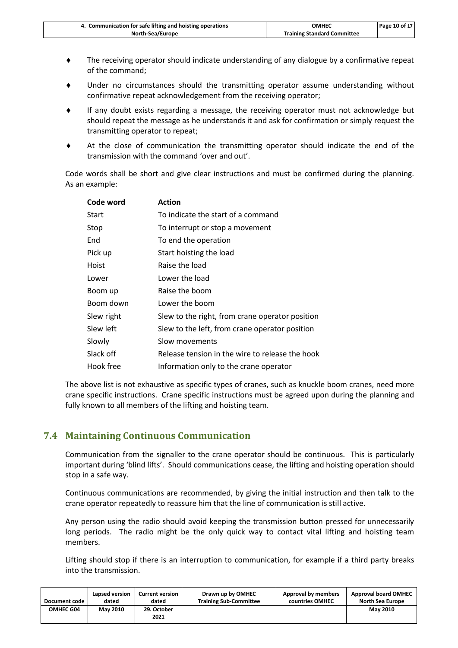| 4. Communication for safe lifting and hoisting operations | ОМНЕС                              | Page 10 of 17 |
|-----------------------------------------------------------|------------------------------------|---------------|
| North-Sea/Europe                                          | <b>Training Standard Committee</b> |               |

- The receiving operator should indicate understanding of any dialogue by a confirmative repeat of the command;
- Under no circumstances should the transmitting operator assume understanding without confirmative repeat acknowledgement from the receiving operator;
- If any doubt exists regarding a message, the receiving operator must not acknowledge but should repeat the message as he understands it and ask for confirmation or simply request the transmitting operator to repeat;
- At the close of communication the transmitting operator should indicate the end of the transmission with the command 'over and out'.

Code words shall be short and give clear instructions and must be confirmed during the planning. As an example:

| Code word  | <b>Action</b>                                   |
|------------|-------------------------------------------------|
| Start      | To indicate the start of a command              |
| Stop       | To interrupt or stop a movement                 |
| End        | To end the operation                            |
| Pick up    | Start hoisting the load                         |
| Hoist      | Raise the load                                  |
| Lower      | Lower the load                                  |
| Boom up    | Raise the boom                                  |
| Boom down  | Lower the boom                                  |
| Slew right | Slew to the right, from crane operator position |
| Slew left  | Slew to the left, from crane operator position  |
| Slowly     | Slow movements                                  |
| Slack off  | Release tension in the wire to release the hook |
| Hook free  | Information only to the crane operator          |

The above list is not exhaustive as specific types of cranes, such as knuckle boom cranes, need more crane specific instructions. Crane specific instructions must be agreed upon during the planning and fully known to all members of the lifting and hoisting team.

#### <span id="page-12-0"></span>**7.4 Maintaining Continuous Communication**

Communication from the signaller to the crane operator should be continuous. This is particularly important during 'blind lifts'. Should communications cease, the lifting and hoisting operation should stop in a safe way.

Continuous communications are recommended, by giving the initial instruction and then talk to the crane operator repeatedly to reassure him that the line of communication is still active.

Any person using the radio should avoid keeping the transmission button pressed for unnecessarily long periods. The radio might be the only quick way to contact vital lifting and hoisting team members.

Lifting should stop if there is an interruption to communication, for example if a third party breaks into the transmission.

| Document code    | Lapsed version  | <b>Current version</b> | Drawn up by OMHEC             | Approval by members | <b>Approval board OMHEC</b> |
|------------------|-----------------|------------------------|-------------------------------|---------------------|-----------------------------|
|                  | dated           | dated                  | <b>Training Sub-Committee</b> | countries OMHEC     | North Sea Europe            |
| <b>OMHEC G04</b> | <b>May 2010</b> | 29. October<br>2021    |                               |                     | <b>May 2010</b>             |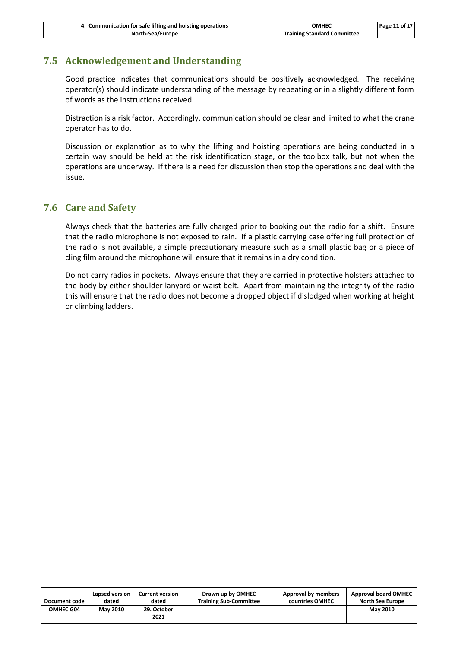| 4. Communication for safe lifting and hoisting operations | <b>OMHEC</b>                       | Page 11 of 17 |
|-----------------------------------------------------------|------------------------------------|---------------|
| North-Sea/Europe                                          | <b>Training Standard Committee</b> |               |

#### <span id="page-13-0"></span>**7.5 Acknowledgement and Understanding**

Good practice indicates that communications should be positively acknowledged. The receiving operator(s) should indicate understanding of the message by repeating or in a slightly different form of words as the instructions received.

Distraction is a risk factor. Accordingly, communication should be clear and limited to what the crane operator has to do.

Discussion or explanation as to why the lifting and hoisting operations are being conducted in a certain way should be held at the risk identification stage, or the toolbox talk, but not when the operations are underway. If there is a need for discussion then stop the operations and deal with the issue.

#### <span id="page-13-1"></span>**7.6 Care and Safety**

Always check that the batteries are fully charged prior to booking out the radio for a shift. Ensure that the radio microphone is not exposed to rain. If a plastic carrying case offering full protection of the radio is not available, a simple precautionary measure such as a small plastic bag or a piece of cling film around the microphone will ensure that it remains in a dry condition.

Do not carry radios in pockets. Always ensure that they are carried in protective holsters attached to the body by either shoulder lanyard or waist belt. Apart from maintaining the integrity of the radio this will ensure that the radio does not become a dropped object if dislodged when working at height or climbing ladders.

| Document code    | Lapsed version  | <b>Current version</b> | Drawn up by OMHEC             | Approval by members | <b>Approval board OMHEC</b> |
|------------------|-----------------|------------------------|-------------------------------|---------------------|-----------------------------|
|                  | dated           | dated                  | <b>Training Sub-Committee</b> | countries OMHEC     | <b>North Sea Europe</b>     |
| <b>OMHEC G04</b> | <b>May 2010</b> | 29. October<br>2021    |                               |                     | <b>May 2010</b>             |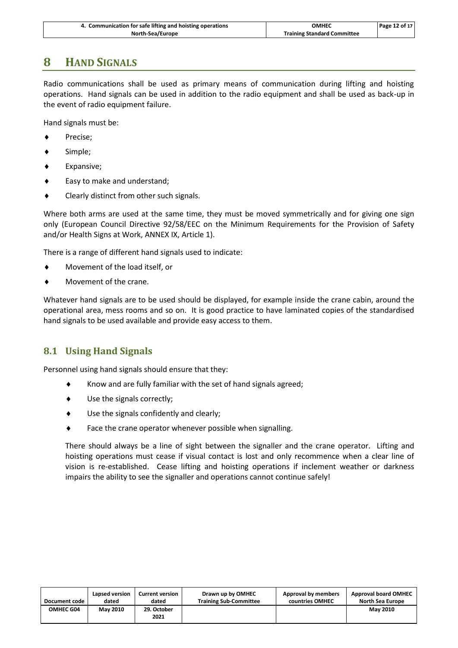| 4. Communication for safe lifting and hoisting operations | ОМНЕС                              | Page 12 of 17 |
|-----------------------------------------------------------|------------------------------------|---------------|
| North-Sea/Europe                                          | <b>Training Standard Committee</b> |               |

# **8 HAND SIGNALS**

Radio communications shall be used as primary means of communication during lifting and hoisting operations. Hand signals can be used in addition to the radio equipment and shall be used as back-up in the event of radio equipment failure.

Hand signals must be:

- ◆ Precise;
- Simple;
- Expansive;
- Easy to make and understand;
- ◆ Clearly distinct from other such signals.

Where both arms are used at the same time, they must be moved symmetrically and for giving one sign only (European Council Directive 92/58/EEC on the Minimum Requirements for the Provision of Safety and/or Health Signs at Work, ANNEX IX, Article 1).

There is a range of different hand signals used to indicate:

- Movement of the load itself, or
- Movement of the crane.

Whatever hand signals are to be used should be displayed, for example inside the crane cabin, around the operational area, mess rooms and so on. It is good practice to have laminated copies of the standardised hand signals to be used available and provide easy access to them.

#### <span id="page-14-0"></span>**8.1 Using Hand Signals**

Personnel using hand signals should ensure that they:

- $\bullet$  Know and are fully familiar with the set of hand signals agreed;
- Use the signals correctly;
- Use the signals confidently and clearly;
- Face the crane operator whenever possible when signalling.

There should always be a line of sight between the signaller and the crane operator. Lifting and hoisting operations must cease if visual contact is lost and only recommence when a clear line of vision is re-established. Cease lifting and hoisting operations if inclement weather or darkness impairs the ability to see the signaller and operations cannot continue safely!

| Document code | Lapsed version  | <b>Current version</b> | Drawn up by OMHEC             | Approval by members | <b>Approval board OMHEC</b> |
|---------------|-----------------|------------------------|-------------------------------|---------------------|-----------------------------|
|               | dated           | dated                  | <b>Training Sub-Committee</b> | countries OMHEC     | <b>North Sea Europe</b>     |
| OMHEC G04     | <b>May 2010</b> | 29. October<br>2021    |                               |                     | <b>May 2010</b>             |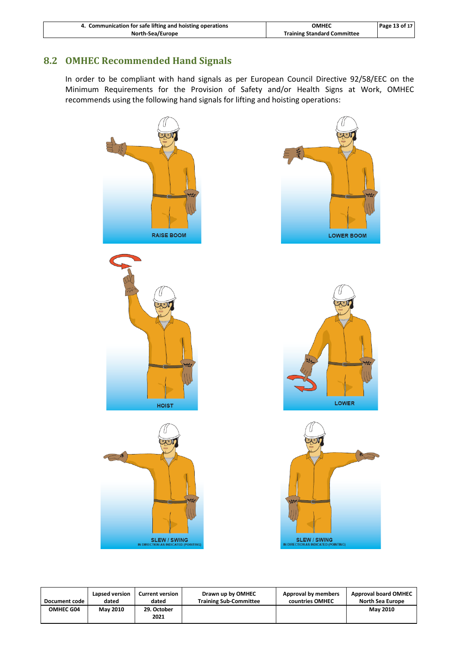| 4. Communication for safe lifting and hoisting operations | OMHEC                              | Page 13 of 17 |
|-----------------------------------------------------------|------------------------------------|---------------|
| North-Sea/Europe                                          | <b>Training Standard Committee</b> |               |

#### <span id="page-15-0"></span>**8.2 OMHEC Recommended Hand Signals**

In order to be compliant with hand signals as per European Council Directive 92/58/EEC on the Minimum Requirements for the Provision of Safety and/or Health Signs at Work, OMHEC recommends using the following hand signals for lifting and hoisting operations:



**Document code Lapsed version dated Current version dated Drawn up by OMHEC Training Sub-Committee Approval by members countries OMHEC Approval board OMHEC North Sea Europe OMHEC G04 May 2010 29. October 2021 May 2010**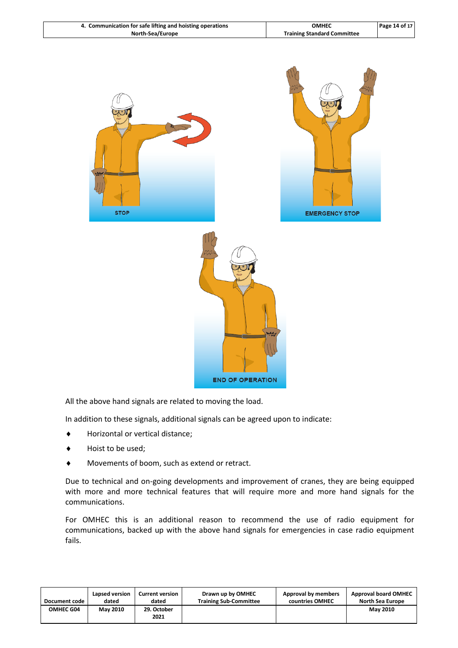| 4. Communication for safe lifting and hoisting operations | ОМНЕС                              | Page 14 of 17 |
|-----------------------------------------------------------|------------------------------------|---------------|
| North-Sea/Europe                                          | <b>Training Standard Committee</b> |               |



All the above hand signals are related to moving the load.

In addition to these signals, additional signals can be agreed upon to indicate:

- Horizontal or vertical distance;
- Hoist to be used;
- Movements of boom, such as extend or retract.

Due to technical and on-going developments and improvement of cranes, they are being equipped with more and more technical features that will require more and more hand signals for the communications.

For OMHEC this is an additional reason to recommend the use of radio equipment for communications, backed up with the above hand signals for emergencies in case radio equipment fails.

| Document code    | Lapsed version  | <b>Current version</b> | Drawn up by OMHEC             | Approval by members | <b>Approval board OMHEC</b> |
|------------------|-----------------|------------------------|-------------------------------|---------------------|-----------------------------|
|                  | dated           | dated                  | <b>Training Sub-Committee</b> | countries OMHEC     | North Sea Europe            |
| <b>OMHEC G04</b> | <b>May 2010</b> | 29. October<br>2021    |                               |                     | <b>May 2010</b>             |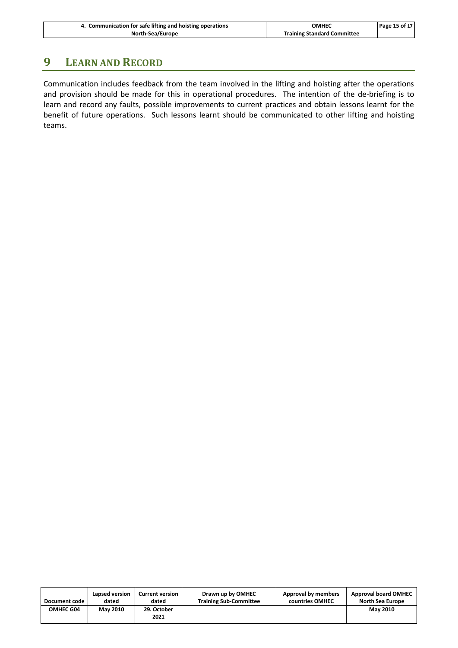| 4. Communication for safe lifting and hoisting operations | ОМНЕС                              | Page 15 of 17 |
|-----------------------------------------------------------|------------------------------------|---------------|
| North-Sea/Europe                                          | <b>Training Standard Committee</b> |               |

# **9 LEARN AND RECORD**

Communication includes feedback from the team involved in the lifting and hoisting after the operations and provision should be made for this in operational procedures. The intention of the de-briefing is to learn and record any faults, possible improvements to current practices and obtain lessons learnt for the benefit of future operations. Such lessons learnt should be communicated to other lifting and hoisting teams.

| Document code    | Lapsed version  | <b>Current version</b> | Drawn up by OMHEC             | Approval by members | <b>Approval board OMHEC</b> |
|------------------|-----------------|------------------------|-------------------------------|---------------------|-----------------------------|
|                  | dated           | dated                  | <b>Training Sub-Committee</b> | countries OMHEC     | <b>North Sea Europe</b>     |
| <b>OMHEC G04</b> | <b>May 2010</b> | 29. October<br>2021    |                               |                     | <b>May 2010</b>             |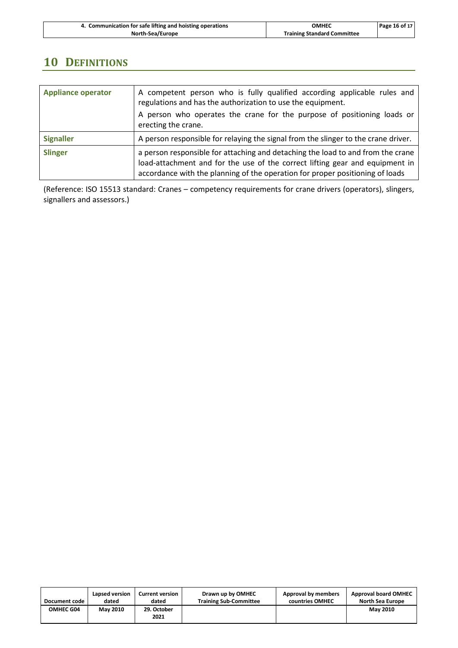| 4. Communication for safe lifting and hoisting operations | OMHEC                              | Page 16 of 17 |
|-----------------------------------------------------------|------------------------------------|---------------|
| North-Sea/Europe                                          | <b>Training Standard Committee</b> |               |

# **10 DEFINITIONS**

| <b>Appliance operator</b> | A competent person who is fully qualified according applicable rules and<br>regulations and has the authorization to use the equipment.<br>A person who operates the crane for the purpose of positioning loads or<br>erecting the crane.        |  |  |
|---------------------------|--------------------------------------------------------------------------------------------------------------------------------------------------------------------------------------------------------------------------------------------------|--|--|
| <b>Signaller</b>          | A person responsible for relaying the signal from the slinger to the crane driver.                                                                                                                                                               |  |  |
| <b>Slinger</b>            | a person responsible for attaching and detaching the load to and from the crane<br>load-attachment and for the use of the correct lifting gear and equipment in<br>accordance with the planning of the operation for proper positioning of loads |  |  |

(Reference: ISO 15513 standard: Cranes – competency requirements for crane drivers (operators), slingers, signallers and assessors.)

| Document code    | Lapsed version  | <b>Current version</b> | Drawn up by OMHEC             | Approval by members | <b>Approval board OMHEC</b> |
|------------------|-----------------|------------------------|-------------------------------|---------------------|-----------------------------|
|                  | dated           | dated                  | <b>Training Sub-Committee</b> | countries OMHEC     | North Sea Europe            |
| <b>OMHEC G04</b> | <b>May 2010</b> | 29. October<br>2021    |                               |                     | <b>May 2010</b>             |